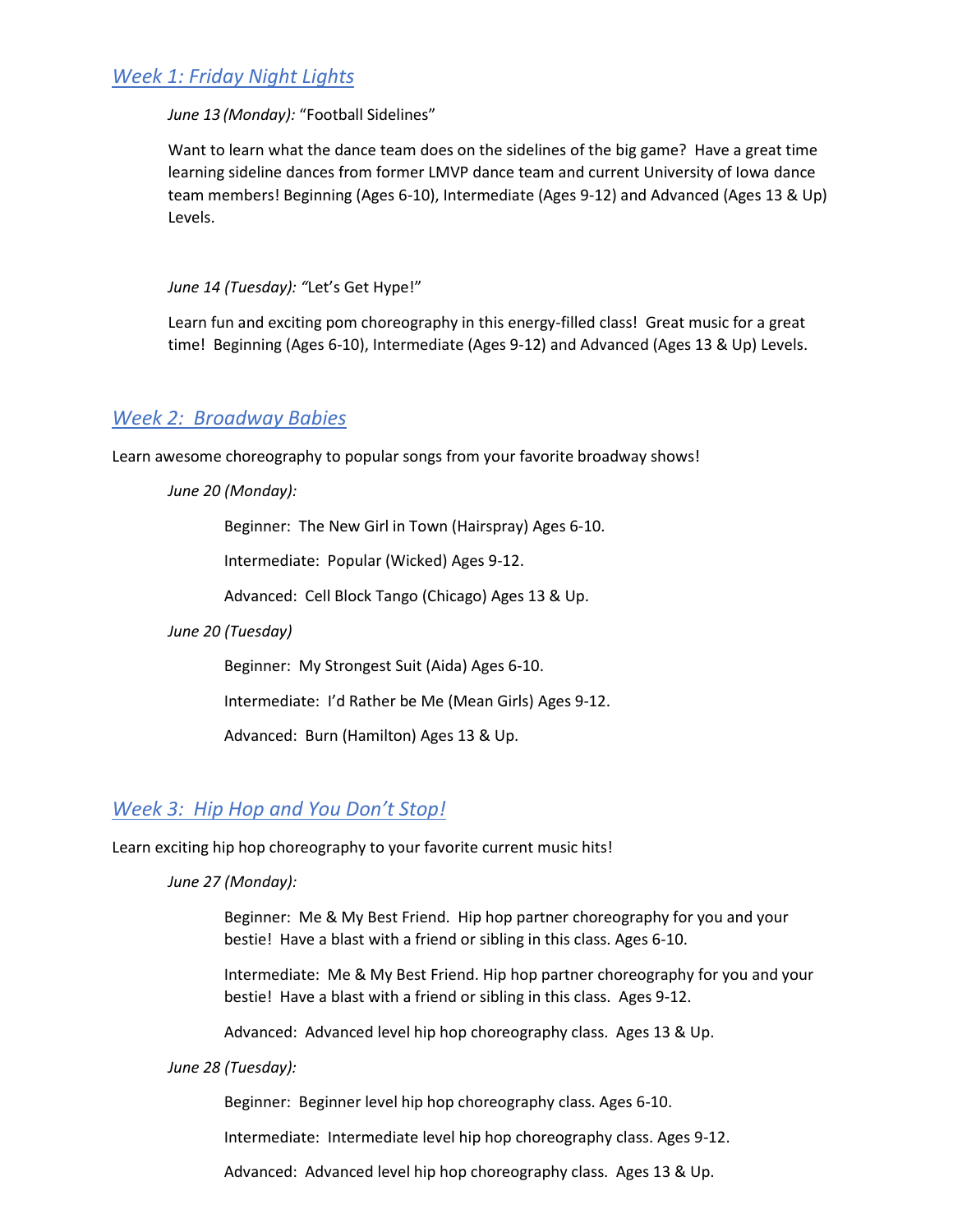### *Week 1: Friday Night Lights*

#### *June 13 (Monday):* "Football Sidelines"

Want to learn what the dance team does on the sidelines of the big game? Have a great time learning sideline dances from former LMVP dance team and current University of Iowa dance team members! Beginning (Ages 6-10), Intermediate (Ages 9-12) and Advanced (Ages 13 & Up) Levels.

*June 14 (Tuesday): "*Let's Get Hype!"

Learn fun and exciting pom choreography in this energy-filled class! Great music for a great time! Beginning (Ages 6-10), Intermediate (Ages 9-12) and Advanced (Ages 13 & Up) Levels.

### *Week 2: Broadway Babies*

Learn awesome choreography to popular songs from your favorite broadway shows!

*June 20 (Monday):*

Beginner: The New Girl in Town (Hairspray) Ages 6-10.

Intermediate: Popular (Wicked) Ages 9-12.

Advanced: Cell Block Tango (Chicago) Ages 13 & Up.

#### *June 20 (Tuesday)*

Beginner: My Strongest Suit (Aida) Ages 6-10.

Intermediate: I'd Rather be Me (Mean Girls) Ages 9-12.

Advanced: Burn (Hamilton) Ages 13 & Up.

### *Week 3: Hip Hop and You Don't Stop!*

Learn exciting hip hop choreography to your favorite current music hits!

*June 27 (Monday):*

Beginner: Me & My Best Friend. Hip hop partner choreography for you and your bestie! Have a blast with a friend or sibling in this class. Ages 6-10.

Intermediate: Me & My Best Friend. Hip hop partner choreography for you and your bestie! Have a blast with a friend or sibling in this class. Ages 9-12.

Advanced: Advanced level hip hop choreography class. Ages 13 & Up.

*June 28 (Tuesday):*

Beginner: Beginner level hip hop choreography class. Ages 6-10.

Intermediate: Intermediate level hip hop choreography class. Ages 9-12.

Advanced: Advanced level hip hop choreography class. Ages 13 & Up.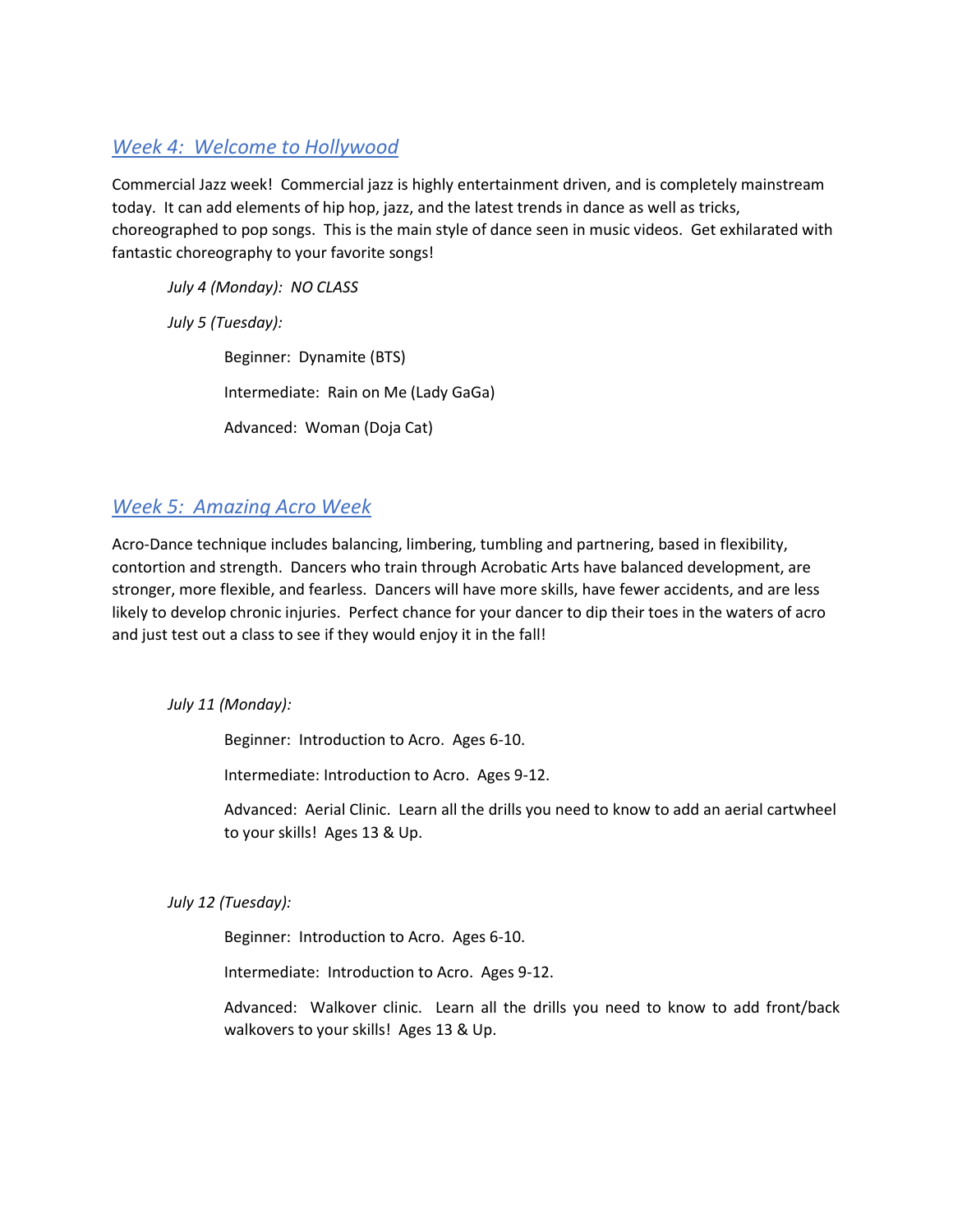# *Week 4: Welcome to Hollywood*

Commercial Jazz week! Commercial jazz is highly entertainment driven, and is completely mainstream today. It can add elements of hip hop, jazz, and the latest trends in dance as well as tricks, choreographed to pop songs. This is the main style of dance seen in music videos. Get exhilarated with fantastic choreography to your favorite songs!

*July 4 (Monday): NO CLASS*

*July 5 (Tuesday):* 

Beginner: Dynamite (BTS) Intermediate: Rain on Me (Lady GaGa) Advanced: Woman (Doja Cat)

# *Week 5: Amazing Acro Week*

Acro-Dance technique includes balancing, limbering, tumbling and partnering, based in flexibility, contortion and strength. Dancers who train through Acrobatic Arts have balanced development, are stronger, more flexible, and fearless. Dancers will have more skills, have fewer accidents, and are less likely to develop chronic injuries. Perfect chance for your dancer to dip their toes in the waters of acro and just test out a class to see if they would enjoy it in the fall!

*July 11 (Monday):*

Beginner: Introduction to Acro. Ages 6-10.

Intermediate: Introduction to Acro. Ages 9-12.

Advanced: Aerial Clinic. Learn all the drills you need to know to add an aerial cartwheel to your skills! Ages 13 & Up.

*July 12 (Tuesday):*

Beginner: Introduction to Acro. Ages 6-10.

Intermediate: Introduction to Acro. Ages 9-12.

Advanced: Walkover clinic. Learn all the drills you need to know to add front/back walkovers to your skills! Ages 13 & Up.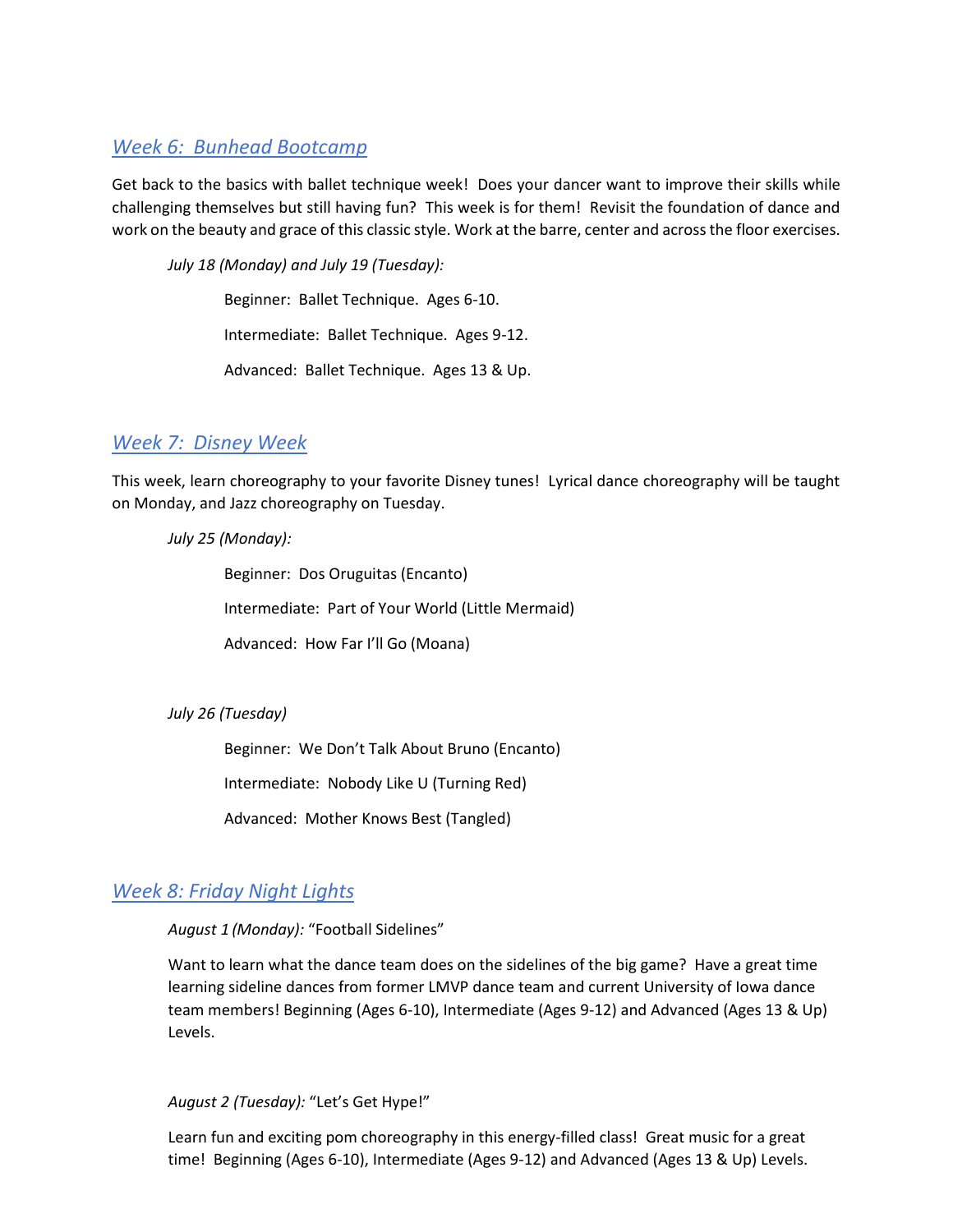### *Week 6: Bunhead Bootcamp*

Get back to the basics with ballet technique week! Does your dancer want to improve their skills while challenging themselves but still having fun? This week is for them! Revisit the foundation of dance and work on the beauty and grace of this classic style. Work at the barre, center and across the floor exercises.

*July 18 (Monday) and July 19 (Tuesday):*

Beginner: Ballet Technique. Ages 6-10.

Intermediate: Ballet Technique. Ages 9-12.

Advanced: Ballet Technique. Ages 13 & Up.

# *Week 7: Disney Week*

This week, learn choreography to your favorite Disney tunes! Lyrical dance choreography will be taught on Monday, and Jazz choreography on Tuesday.

#### *July 25 (Monday):*

Beginner: Dos Oruguitas (Encanto) Intermediate: Part of Your World (Little Mermaid) Advanced: How Far I'll Go (Moana)

#### *July 26 (Tuesday)*

Beginner: We Don't Talk About Bruno (Encanto)

Intermediate: Nobody Like U (Turning Red)

Advanced: Mother Knows Best (Tangled)

# *Week 8: Friday Night Lights*

### *August 1 (Monday):* "Football Sidelines"

Want to learn what the dance team does on the sidelines of the big game? Have a great time learning sideline dances from former LMVP dance team and current University of Iowa dance team members! Beginning (Ages 6-10), Intermediate (Ages 9-12) and Advanced (Ages 13 & Up) Levels.

*August 2 (Tuesday):* "Let's Get Hype!"

Learn fun and exciting pom choreography in this energy-filled class! Great music for a great time! Beginning (Ages 6-10), Intermediate (Ages 9-12) and Advanced (Ages 13 & Up) Levels.